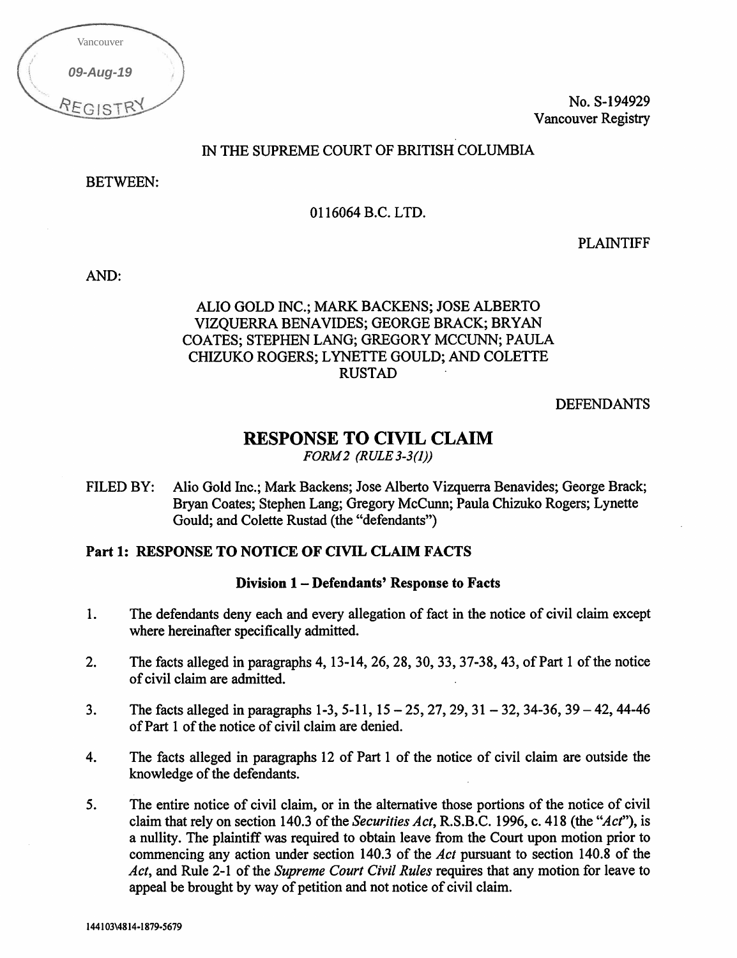| Vancouver |  |
|-----------|--|
| 09-Aug-19 |  |
| REGIST    |  |

No. S-194929 Vancouver Registry

## IN THE SUPREME COURT OF BRITISH COLUMBIA

BETWEEN:

0116064 B.C. LTD.

PLAINTIFF

AND:

# ALIO GOLD INC.; MARK BACKENS; JOSE ALBERTO VIZQUERRA BENAVIDES; GEORGE BRACK; BRYAN COATES; STEPHEN LANG; GREGORY MCCUNN; PAULA CHIZUKO ROGERS; LYNETTE GOULD; AND COLETTE RUSTAD

DEFENDANTS

# RESPONSE TO CIVIL CLAIM

FORM2 (RULE 3-3(1))

FILED BY: Alio Gold Inc.; Mark Backens; Jose Alberto Vizquerra Benavides; George Brack; Bryan Coates; Stephen Lang; Gregory McCunn; Paula Chizuko Rogers; Lynette Gould; and Colette Rustad (the "defendants")

# Part 1: RESPONSE TO NOTICE OF CIVIL CLAIM FACTS

### Division 1— Defendants' Response to Facts

- 1. The defendants deny each and every allegation of fact in the notice of civil claim except where hereinafter specifically admitted.
- 2. The facts alleged in paragraphs 4, 13-14, 26, 28, 30, 33, 37-38, 43, of Part 1 of the notice of civil claim are admitted.
- 3. The facts alleged in paragraphs 1-3, 5-11, 15 25, 27, 29, 31 32, 34-36, 39 42, 44-46 of Part 1 of the notice of civil claim are denied.
- 4. The facts alleged in paragraphs 12 of Part 1 of the notice of civil claim are outside the knowledge of the defendants.
- 5. The entire notice of civil claim, or in the alternative those portions of the notice of civil claim that rely on section 140.3 of the Securities Act, R.S.B.C. 1996, c. 418 (the "Act"), is a nullity. The plaintiff was required to obtain leave from the Court upon motion prior to commencing any action under section 140.3 of the Act pursuant to section 140.8 of the Act, and Rule 2-1 of the Supreme Court Civil Rules requires that any motion for leave to appeal be brought by way of petition and not notice of civil claim.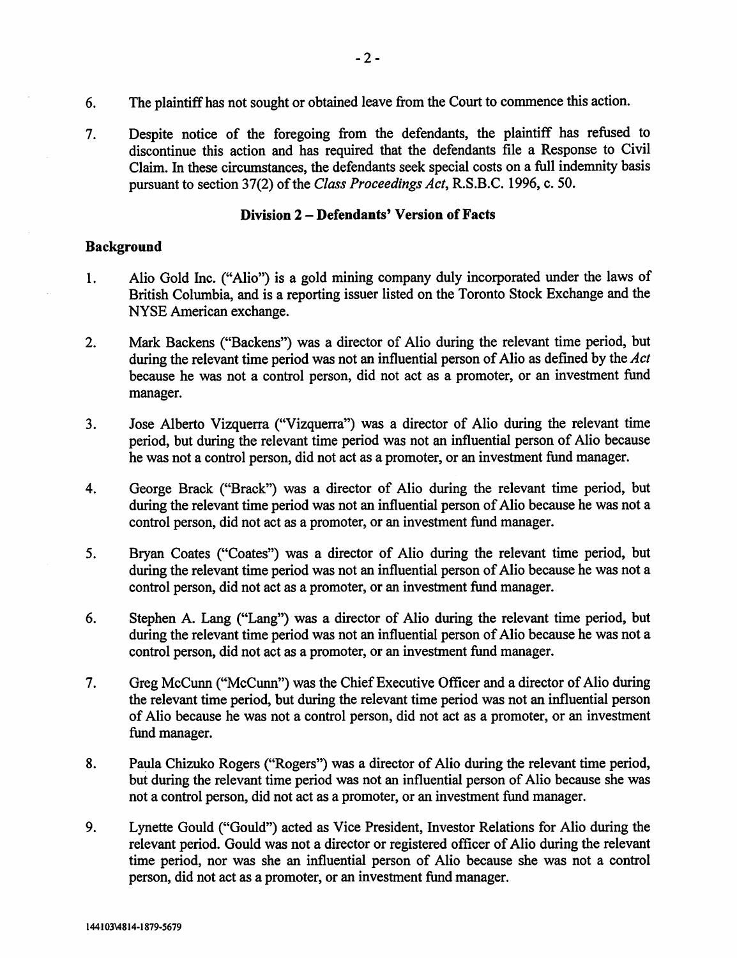- 6. The plaintiff has not sought or obtained leave from the Court to commence this action.
- 7. Despite notice of the foregoing from the defendants, the plaintiff has refused to discontinue this action and has required that the defendants file a Response to Civil Claim. In these circumstances, the defendants seek special costs on a full indemnity basis pursuant to section 37(2) of the Class Proceedings Act, R.S.B.C. 1996, c. 50.

#### Division 2 — Defendants' Version of Facts

#### Background

- 1. Alio Gold Inc. ("Alio") is a gold mining company duly incorporated under the laws of British Columbia, and is a reporting issuer listed on the Toronto Stock Exchange and the NYSE American exchange.
- 2. Mark Backens ("Backens") was a director of Alio during the relevant time period, but during the relevant time period was not an influential person of Alio as defined by the Act because he was not a control person, did not act as a promoter, or an investment fund manager.
- 3. Jose Alberto Vizquerra ("Vizquerra") was a director of Alio during the relevant time period, but during the relevant time period was not an influential person of Alio because he was not a control person, did not act as a promoter, or an investment fund manager.
- 4. George Brack ("Brack") was a director of Alio during the relevant time period, but during the relevant time period was not an influential person of Alio because he was not a control person, did not act as a promoter, or an investment fund manager.
- 5. Bryan Coates ("Coates") was a director of Alio during the relevant time period, but during the relevant time period was not an influential person of Alio because he was not a control person, did not act as a promoter, or an investment fund manager.
- 6. Stephen A. Lang ("Lang") was a director of Alio during the relevant time period, but during the relevant time period was not an influential person of Alio because he was not a control person, did not act as a promoter, or an investment fund manager.
- 7. Greg McCunn ("McCunn") was the Chief Executive Officer and a director of Alio during the relevant time period, but during the relevant time period was not an influential person of Alio because he was not a control person, did not act as a promoter, or an investment fund manager.
- 8. Paula Chizuko Rogers ("Rogers") was a director of Alio during the relevant time period, but during the relevant time period was not an influential person of Alio because she was not a control person, did not act as a promoter, or an investment fund manager.
- 9. Lynette Gould ("Gould") acted as Vice President, Investor Relations for Alio during the relevant period. Gould was not a director or registered officer of Alio during the relevant time period, nor was she an influential person of Alio because she was not a control person, did not act as a promoter, or an investment fund manager.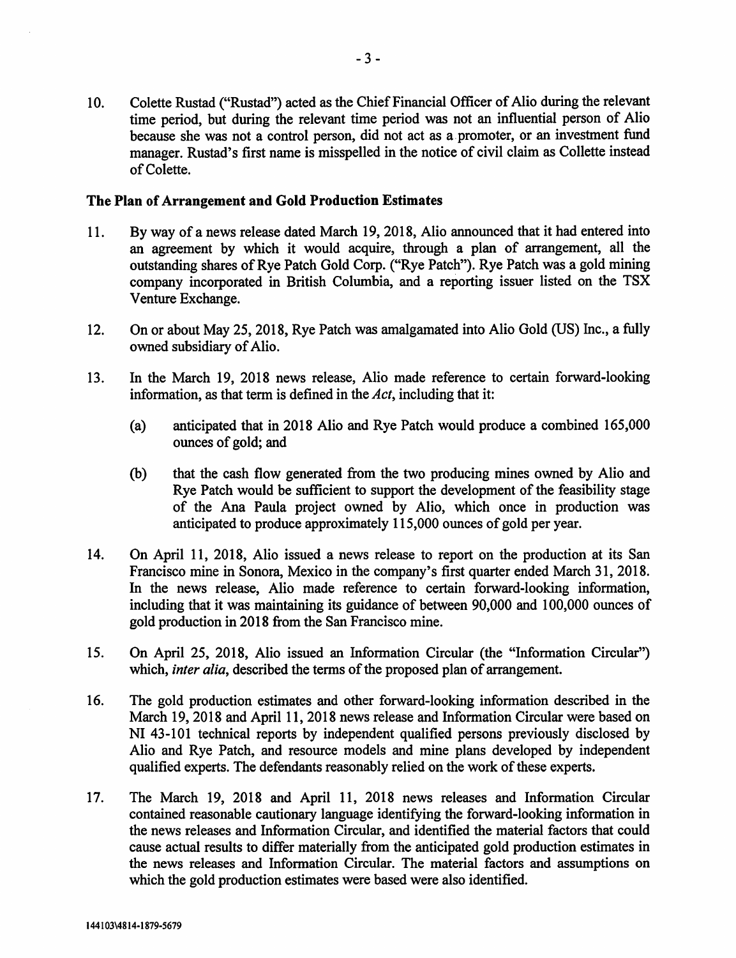10. Colette Rustad ("Rustad") acted as the Chief Financial Officer of Alio during the relevant time period, but during the relevant time period was not an influential person of Alio because she was not a control person, did not act as a promoter, or an investment fund manager. Rustad's first name is misspelled in the notice of civil claim as Collette instead of Colette.

#### The Plan of Arrangement and Gold Production Estimates

- 11. By way of a news release dated March 19, 2018, Alio announced that it had entered into an agreement by which it would acquire, through a plan of arrangement, all the outstanding shares of Rye Patch Gold Corp. ("Rye Patch"). Rye Patch was a gold mining company incorporated in British Columbia, and a reporting issuer listed on the TSX Venture Exchange.
- 12. On or about May 25, 2018, Rye Patch was amalgamated into Alio Gold (US) Inc., a fully owned subsidiary of Alio.
- 13. In the March 19, 2018 news release, Alio made reference to certain forward-looking information, as that term is defined in the  $Act$ , including that it:
	- (a) anticipated that in 2018 Alio and Rye Patch would produce a combined 165,000 ounces of gold; and
	- (b) that the cash flow generated from the two producing mines owned by Alio and Rye Patch would be sufficient to support the development of the feasibility stage of the Ana Paula project owned by Alio, which once in production was anticipated to produce approximately 115,000 ounces of gold per year.
- 14. On April 11, 2018, Alio issued a news release to report on the production at its San Francisco mine in Sonora, Mexico in the company's first quarter ended March 31, 2018. In the news release, Alio made reference to certain forward-looking information, including that it was maintaining its guidance of between 90,000 and 100,000 ounces of gold production in 2018 from the San Francisco mine.
- 15. On April 25, 2018, Alio issued an Information Circular (the "Information Circular") which, inter alia, described the terms of the proposed plan of arrangement.
- 16. The gold production estimates and other forward-looking information described in the March 19, 2018 and April 11, 2018 news release and Information Circular were based on NI 43-101 technical reports by independent qualified persons previously disclosed by Alio and Rye Patch, and resource models and mine plans developed by independent qualified experts. The defendants reasonably relied on the work of these experts.
- 17. The March 19, 2018 and April 11, 2018 news releases and Information Circular contained reasonable cautionary language identifying the forward-looking information in the news releases and Information Circular, and identified the material factors that could cause actual results to differ materially from the anticipated gold production estimates in the news releases and Information Circular. The material factors and assumptions on which the gold production estimates were based were also identified.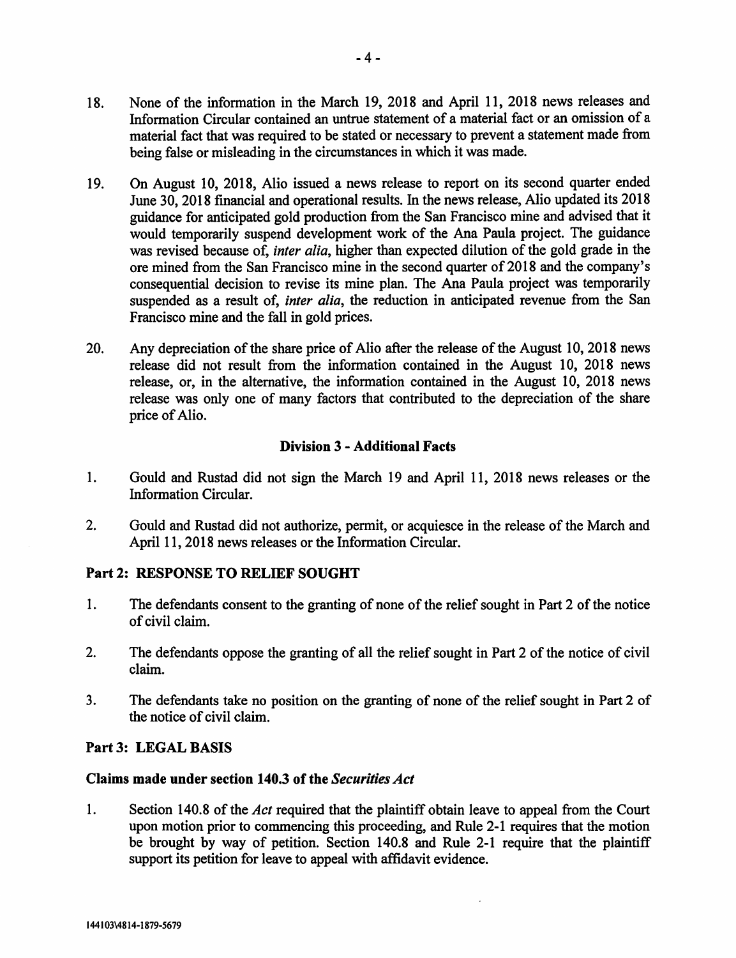- 19. On August 10, 2018, Alio issued a news release to report on its second quarter ended June 30, 2018 financial and operational results. In the news release, Alio updated its 2018 guidance for anticipated gold production from the San Francisco mine and advised that it would temporarily suspend development work of the Ana Paula project. The guidance was revised because of, *inter alia*, higher than expected dilution of the gold grade in the ore mined from the San Francisco mine in the second quarter of 2018 and the company's consequential decision to revise its mine plan. The Ana Paula project was temporarily suspended as a result of, *inter alia*, the reduction in anticipated revenue from the San Francisco mine and the fall in gold prices.
- 20. Any depreciation of the share price of Alio after the release of the August 10, 2018 news release did not result from the information contained in the August 10, 2018 news release, or, in the alternative, the information contained in the August 10, 2018 news release was only one of many factors that contributed to the depreciation of the share price of Alio.

## Division 3 - Additional Facts

- 1. Gould and Rustad did not sign the March 19 and April 11, 2018 news releases or the Information Circular.
- 2. Gould and Rustad did not authorize, permit, or acquiesce in the release of the March and April 11, 2018 news releases or the Information Circular.

# Part 2: RESPONSE TO RELIEF SOUGHT

- 1. The defendants consent to the granting of none of the relief sought in Part 2 of the notice of civil claim.
- 2. The defendants oppose the granting of all the relief sought in Part 2 of the notice of civil claim.
- 3. The defendants take no position on the granting of none of the relief sought in Part 2 of the notice of civil claim.

# Part 3: LEGAL BASIS

### Claims made under section 140.3 of the Securities Act

1. Section 140.8 of the *Act* required that the plaintiff obtain leave to appeal from the Court upon motion prior to commencing this proceeding, and Rule 2-1 requires that the motion be brought by way of petition. Section 140.8 and Rule 2-1 require that the plaintiff support its petition for leave to appeal with affidavit evidence.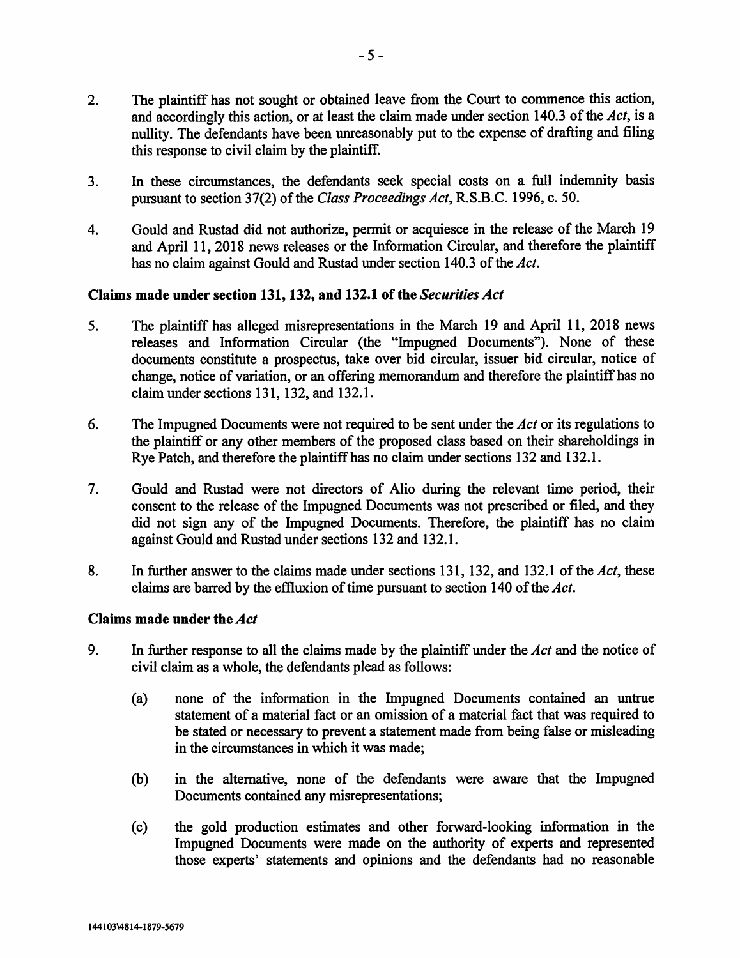- 2. The plaintiff has not sought or obtained leave from the Court to commence this action, and accordingly this action, or at least the claim made under section 140.3 of the Act, is a nullity. The defendants have been unreasonably put to the expense of drafting and filing this response to civil claim by the plaintiff.
- 3. In these circumstances, the defendants seek special costs on a full indemnity basis pursuant to section 37(2) of the Class Proceedings Act, R.S.B.C. 1996, c. 50.
- 4. Gould and Rustad did not authorize, permit or acquiesce in the release of the March 19 and April 11, 2018 news releases or the Information Circular, and therefore the plaintiff has no claim against Gould and Rustad under section 140.3 of the Act.

### Claims made under section 131, 132, and 132.1 of the Securities Act

- 5. The plaintiff has alleged misrepresentations in the March 19 and April 11, 2018 news releases and Information Circular (the "Impugned Documents"). None of these documents constitute a prospectus, take over bid circular, issuer bid circular, notice of change, notice of variation, or an offering memorandum and therefore the plaintiff has no claim under sections 131, 132, and 132.1.
- 6. The Impugned Documents were not required to be sent under the Act or its regulations to the plaintiff or any other members of the proposed class based on their shareholdings in Rye Patch, and therefore the plaintiff has no claim under sections 132 and 132.1.
- 7. Gould and Rustad were not directors of Alio during the relevant time period, their consent to the release of the Impugned Documents was not prescribed or filed, and they did not sign any of the Impugned Documents. Therefore, the plaintiff has no claim against Gould and Rustad under sections 132 and 132.1.
- 8. In further answer to the claims made under sections 131, 132, and 132.1 of the Act, these claims are barred by the effluxion of time pursuant to section 140 of the Act.

### Claims made under the Act

- 9. In further response to all the claims made by the plaintiff under the  $Act$  and the notice of civil claim as a whole, the defendants plead as follows:
	- (a) none of the information in the Impugned Documents contained an untrue statement of a material fact or an omission of a material fact that was required to be stated or necessary to prevent a statement made from being false or misleading in the circumstances in which it was made;
	- (b) in the alternative, none of the defendants were aware that the Impugned Documents contained any misrepresentations;
	- (c) the gold production estimates and other forward-looking information in the Impugned Documents were made on the authority of experts and represented those experts' statements and opinions and the defendants had no reasonable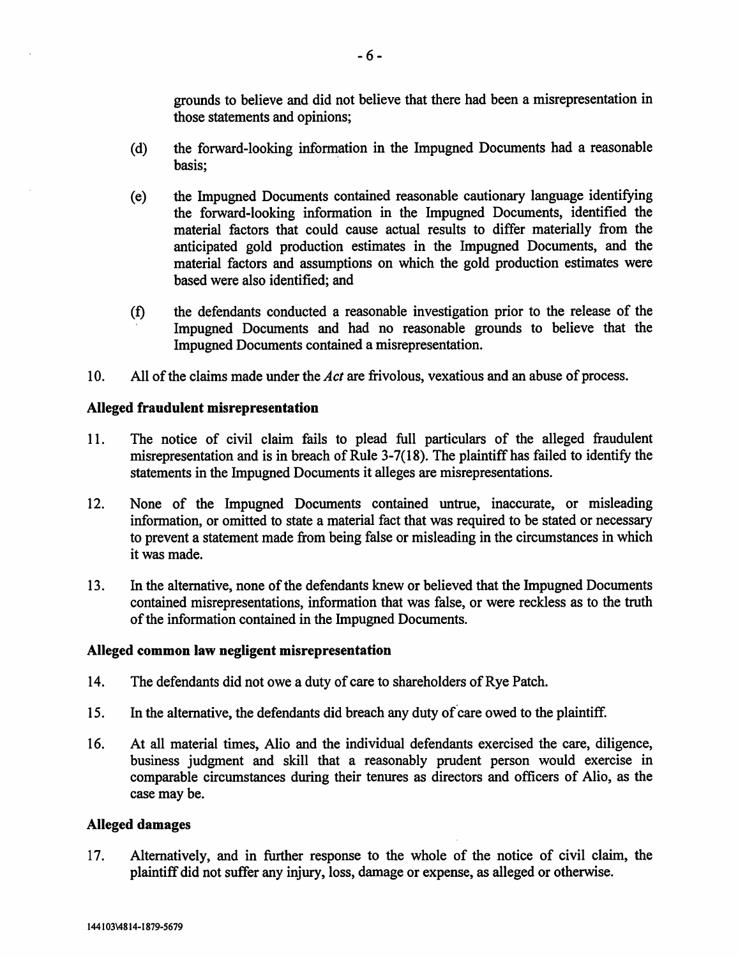grounds to believe and did not believe that there had been a misrepresentation in those statements and opinions;

- (d) the forward-looking information in the Impugned Documents had a reasonable basis;
- (e) the Impugned Documents contained reasonable cautionary language identifying the forward-looking information in the Impugned Documents, identified the material factors that could cause actual results to differ materially from the anticipated gold production estimates in the Impugned Documents, and the material factors and assumptions on which the gold production estimates were based were also identified; and
- (f) the defendants conducted a reasonable investigation prior to the release of the Impugned Documents and had no reasonable grounds to believe that the Impugned Documents contained a misrepresentation.
- 10. All of the claims made under the Act are frivolous, vexatious and an abuse of process.

#### Alleged fraudulent misrepresentation

- 11. The notice of civil claim fails to plead full particulars of the alleged fraudulent misrepresentation and is in breach of Rule 3-7(18). The plaintiff has failed to identify the statements in the Impugned Documents it alleges are misrepresentations.
- 12. None of the Impugned Documents contained untrue, inaccurate, or misleading information, or omitted to state a material fact that was required to be stated or necessary to prevent a statement made from being false or misleading in the circumstances in which it was made.
- 13. In the alternative, none of the defendants knew or believed that the Impugned Documents contained misrepresentations, information that was false, or were reckless as to the truth of the information contained in the Impugned Documents.

#### Alleged common law negligent misrepresentation

- 14. The defendants did not owe a duty of care to shareholders of Rye Patch.
- 15. In the alternative, the defendants did breach any duty of care owed to the plaintiff.
- 16. At all material times, Alio and the individual defendants exercised the care, diligence, business judgment and skill that a reasonably prudent person would exercise in comparable circumstances during their tenures as directors and officers of Alio, as the case may be.

#### Alleged damages

17. Alternatively, and in further response to the whole of the notice of civil claim, the plaintiff did not suffer any injury, loss, damage or expense, as alleged or otherwise.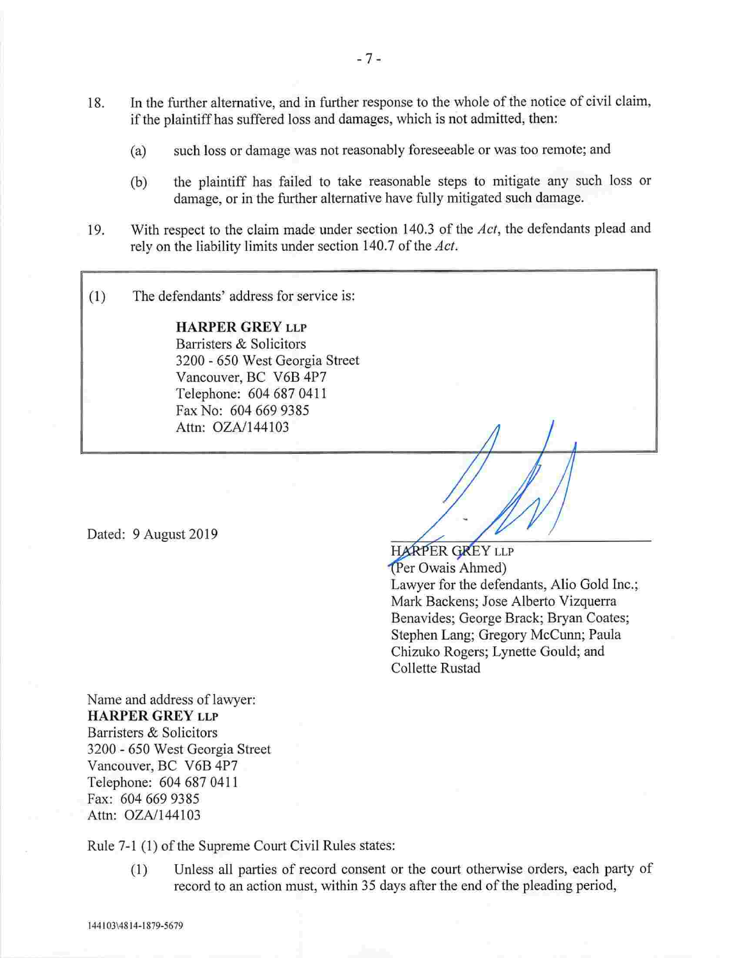- 18. In the further alternative, and in further response to the whole of the notice of civil claim, if the plaintiff has suffered loss and damages, which is not admitted, then:
	- (a) such loss or damage was not reasonably foreseeable or was too remote; and
	- (b) the plaintiff has failed to take reasonable steps to mitigate any such loss or damage, or in the further alternative have fully mitigated such damage.
- 19. With respect to the claim made under section 140.3 of the Act, the defendants plead and rely on the liability limits under section 140.7 of the Act.
- (1) The defendants' address for service is:

HARPER GREY LLP Barristers & Solicitors 3200 - 650 West Georgia Street Vancouver, BC V6B 4P7 Telephone: 604 687 0411 Fax No: 604 669 9385 Attn: OZA/144103

Dated: 9 August 2019

HARPER GREY LLP (Per Owais Ahmed) Lawyer for the defendants, Alio Gold Inc.; Mark Backens; Jose Alberto Vizquerra Benavides; George Brack; Bryan Coates; Stephen Lang; Gregory McCunn; Paula Chizuko Rogers; Lynette Gould; and Collette Rustad

Name and address of lawyer: HARPER GREY LLP Barristers & Solicitors 3200 - 650 West Georgia Street Vancouver, BC V6B 4P7 Telephone: 604 687 0411 Fax: 604 669 9385 Attn: OZA/144103

Rule 7-1 (1) of the Supreme Court Civil Rules states:

(1) Unless all parties of record consent or the court otherwise orders, each party of record to an action must, within 35 days after the end of the pleading period,